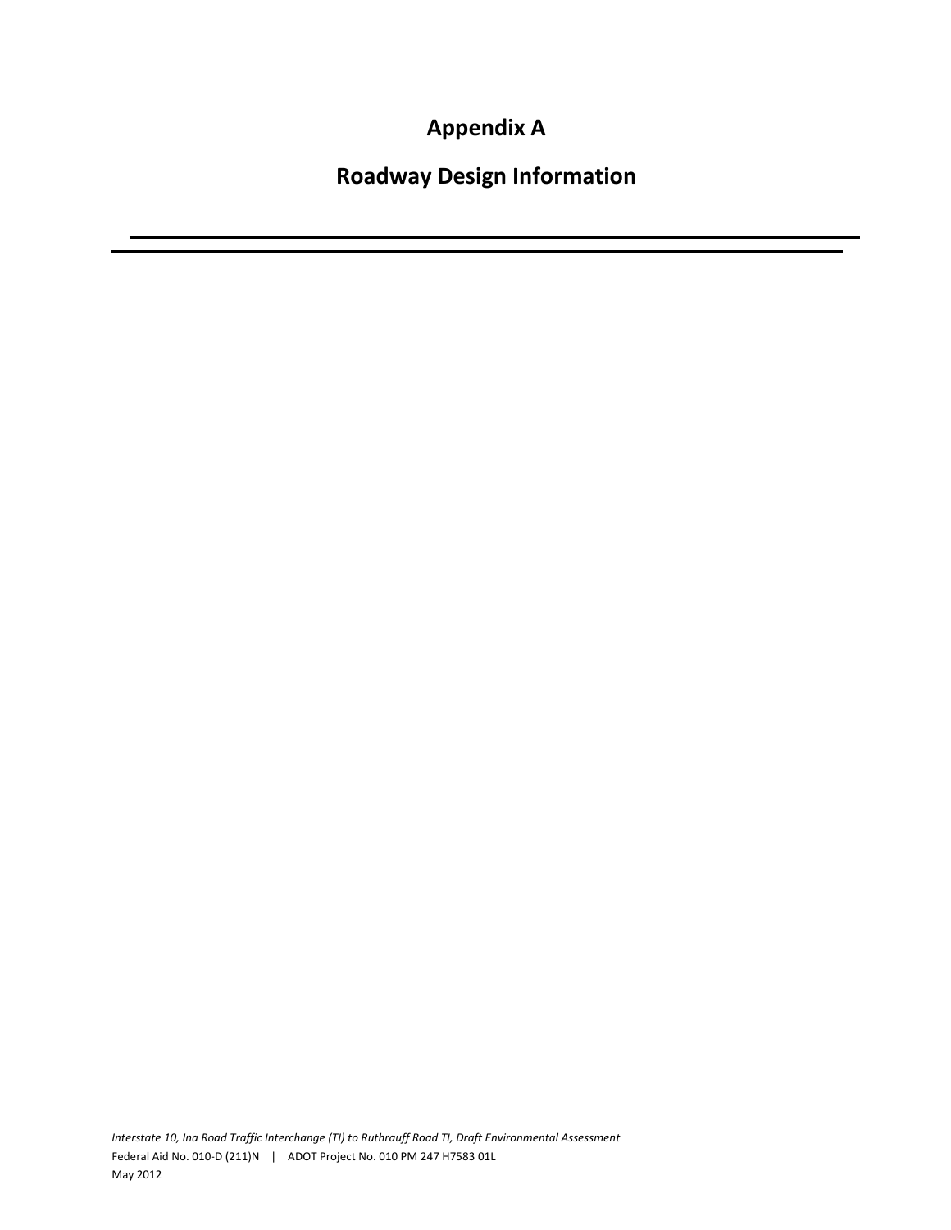**Appendix A**

**Roadway Design Information**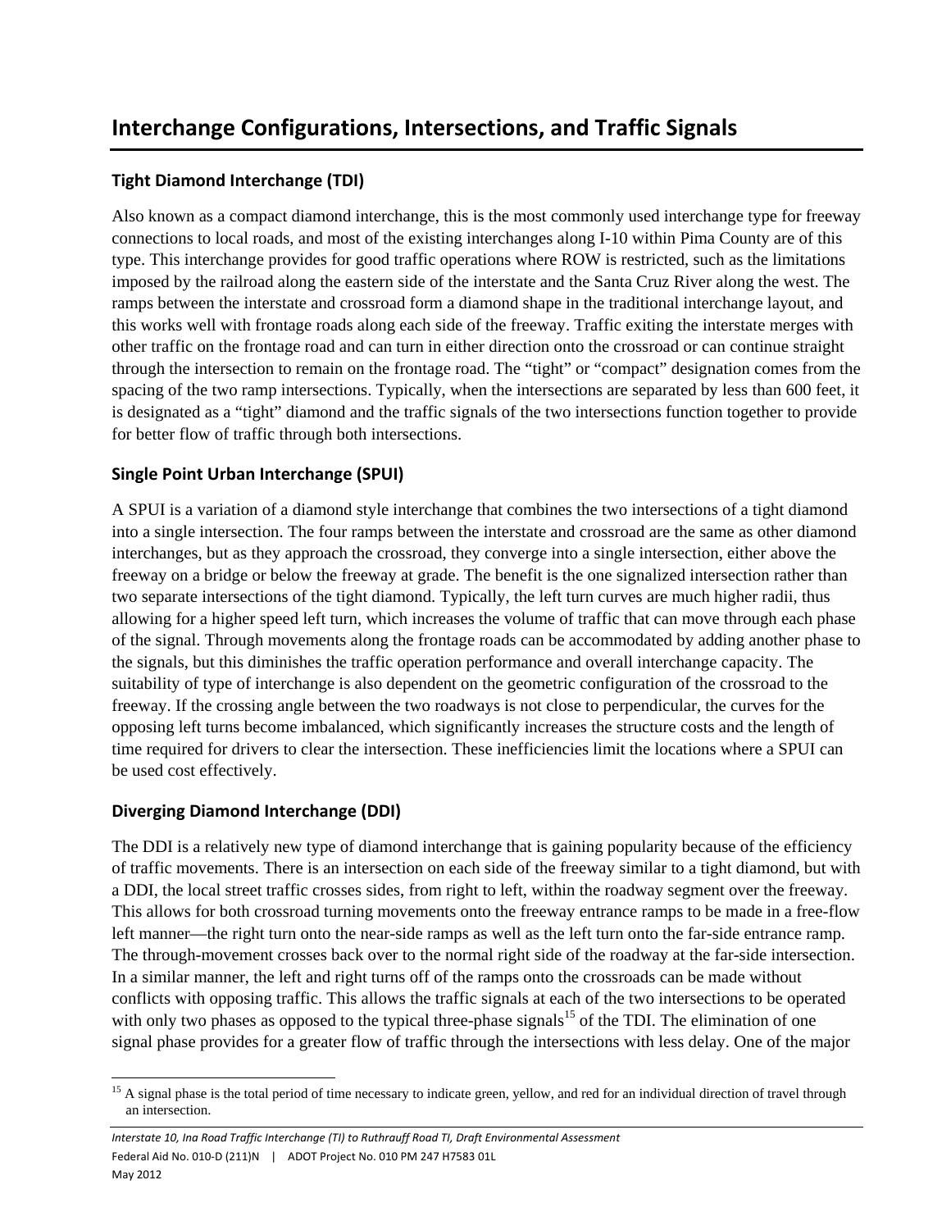## **Tight Diamond Interchange (TDI)**

Also known as a compact diamond interchange, this is the most commonly used interchange type for freeway connections to local roads, and most of the existing interchanges along I-10 within Pima County are of this type. This interchange provides for good traffic operations where ROW is restricted, such as the limitations imposed by the railroad along the eastern side of the interstate and the Santa Cruz River along the west. The ramps between the interstate and crossroad form a diamond shape in the traditional interchange layout, and this works well with frontage roads along each side of the freeway. Traffic exiting the interstate merges with other traffic on the frontage road and can turn in either direction onto the crossroad or can continue straight through the intersection to remain on the frontage road. The "tight" or "compact" designation comes from the spacing of the two ramp intersections. Typically, when the intersections are separated by less than 600 feet, it is designated as a "tight" diamond and the traffic signals of the two intersections function together to provide for better flow of traffic through both intersections.

## **Single Point Urban Interchange (SPUI)**

A SPUI is a variation of a diamond style interchange that combines the two intersections of a tight diamond into a single intersection. The four ramps between the interstate and crossroad are the same as other diamond interchanges, but as they approach the crossroad, they converge into a single intersection, either above the freeway on a bridge or below the freeway at grade. The benefit is the one signalized intersection rather than two separate intersections of the tight diamond. Typically, the left turn curves are much higher radii, thus allowing for a higher speed left turn, which increases the volume of traffic that can move through each phase of the signal. Through movements along the frontage roads can be accommodated by adding another phase to the signals, but this diminishes the traffic operation performance and overall interchange capacity. The suitability of type of interchange is also dependent on the geometric configuration of the crossroad to the freeway. If the crossing angle between the two roadways is not close to perpendicular, the curves for the opposing left turns become imbalanced, which significantly increases the structure costs and the length of time required for drivers to clear the intersection. These inefficiencies limit the locations where a SPUI can be used cost effectively.

## **Diverging Diamond Interchange (DDI)**

The DDI is a relatively new type of diamond interchange that is gaining popularity because of the efficiency of traffic movements. There is an intersection on each side of the freeway similar to a tight diamond, but with a DDI, the local street traffic crosses sides, from right to left, within the roadway segment over the freeway. This allows for both crossroad turning movements onto the freeway entrance ramps to be made in a free-flow left manner—the right turn onto the near-side ramps as well as the left turn onto the far-side entrance ramp. The through-movement crosses back over to the normal right side of the roadway at the far-side intersection. In a similar manner, the left and right turns off of the ramps onto the crossroads can be made without conflicts with opposing traffic. This allows the traffic signals at each of the two intersections to be operated with only two phases as opposed to the typical three-phase signals<sup>15</sup> of the TDI. The elimination of one signal phase provides for a greater flow of traffic through the intersections with less delay. One of the major

 <sup>15</sup> A signal phase is the total period of time necessary to indicate green, yellow, and red for an individual direction of travel through an intersection.

*Interstate 10, Ina Road Traffic Interchange (TI) to Ruthrauff Road TI, Draft Environmental Assessment* Federal Aid No. 010‐D (211)N | ADOT Project No. 010 PM 247 H7583 01L May 2012